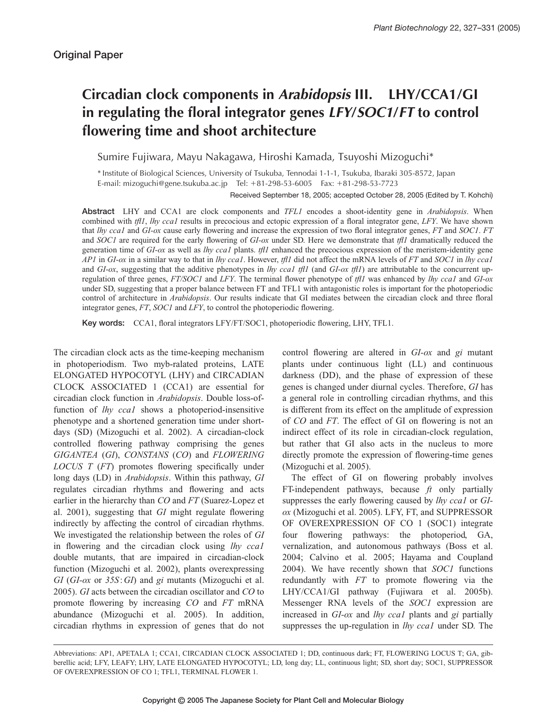# **Circadian clock components in** *Arabidopsis* **III. LHY/CCA1/GI in regulating the floral integrator genes** *LFY***/***SOC1***/***FT* **to control flowering time and shoot architecture**

Sumire Fujiwara, Mayu Nakagawa, Hiroshi Kamada, Tsuyoshi Mizoguchi\*

\* Institute of Biological Sciences, University of Tsukuba, Tennodai 1-1-1, Tsukuba, Ibaraki 305-8572, Japan E-mail: mizoguchi@gene.tsukuba.ac.jp Tel: +81-298-53-6005 Fax: +81-298-53-7723

Received September 18, 2005; accepted October 28, 2005 (Edited by T. Kohchi)

**Abstract** LHY and CCA1 are clock components and *TFL1* encodes a shoot-identity gene in *Arabidopsis*. When combined with *tfl1*, *lhy cca1* results in precocious and ectopic expression of a floral integrator gene, *LFY*. We have shown that *lhy cca1* and *GI-ox* cause early flowering and increase the expression of two floral integrator genes, *FT* and *SOC1*. *FT* and *SOC1* are required for the early flowering of *GI-ox* under SD. Here we demonstrate that *tfl1* dramatically reduced the generation time of *GI-ox* as well as *lhy cca1* plants. *tfl1* enhanced the precocious expression of the meristem-identity gene *AP1* in *GI-ox* in a similar way to that in *lhy cca1*. However, *tfl1* did not affect the mRNA levels of *FT* and *SOC1* in *lhy cca1* and *GI-ox*, suggesting that the additive phenotypes in *lhy ccal tfll* (and *GI-ox tfll*) are attributable to the concurrent upregulation of three genes, *FT/SOC1* and *LFY*. The terminal flower phenotype of *tfl1* was enhanced by *lhy cca1* and *GI-ox* under SD, suggesting that a proper balance between FT and TFL1 with antagonistic roles is important for the photoperiodic control of architecture in *Arabidopsis*. Our results indicate that GI mediates between the circadian clock and three floral integrator genes, *FT*, *SOC1* and *LFY*, to control the photoperiodic flowering.

**Key words:** CCA1, floral integrators LFY/FT/SOC1, photoperiodic flowering, LHY, TFL1.

The circadian clock acts as the time-keeping mechanism in photoperiodism. Two myb-ralated proteins, LATE ELONGATED HYPOCOTYL (LHY) and CIRCADIAN CLOCK ASSOCIATED 1 (CCA1) are essential for circadian clock function in *Arabidopsis*. Double loss-offunction of *lhy cca1* shows a photoperiod-insensitive phenotype and a shortened generation time under shortdays (SD) (Mizoguchi et al. 2002). A circadian-clock controlled flowering pathway comprising the genes *GIGANTEA* (*GI*), *CONSTANS* (*CO*) and *FLOWERING LOCUS T* (*FT*) promotes flowering specifically under long days (LD) in *Arabidopsis*. Within this pathway, *GI* regulates circadian rhythms and flowering and acts earlier in the hierarchy than *CO* and *FT* (Suarez-Lopez et al. 2001), suggesting that *GI* might regulate flowering indirectly by affecting the control of circadian rhythms. We investigated the relationship between the roles of *GI* in flowering and the circadian clock using *lhy cca1* double mutants, that are impaired in circadian-clock function (Mizoguchi et al. 2002), plants overexpressing *GI* (*GI-ox* or *35S*:*GI*) and *gi* mutants (Mizoguchi et al. 2005). *GI* acts between the circadian oscillator and *CO* to promote flowering by increasing *CO* and *FT* mRNA abundance (Mizoguchi et al. 2005). In addition, circadian rhythms in expression of genes that do not control flowering are altered in *GI-ox* and *gi* mutant plants under continuous light (LL) and continuous darkness (DD), and the phase of expression of these genes is changed under diurnal cycles. Therefore, *GI* has a general role in controlling circadian rhythms, and this is different from its effect on the amplitude of expression of *CO* and *FT*. The effect of GI on flowering is not an indirect effect of its role in circadian-clock regulation, but rather that GI also acts in the nucleus to more directly promote the expression of flowering-time genes (Mizoguchi et al. 2005).

The effect of GI on flowering probably involves FT-independent pathways, because *ft* only partially suppresses the early flowering caused by *lhy cca1* or *GIox* (Mizoguchi et al. 2005). LFY, FT, and SUPPRESSOR OF OVEREXPRESSION OF CO 1 (SOC1) integrate four flowering pathways: the photoperiod, GA, vernalization, and autonomous pathways (Boss et al. 2004; Calvino et al. 2005; Hayama and Coupland 2004). We have recently shown that *SOC1* functions redundantly with *FT* to promote flowering via the LHY/CCA1/GI pathway (Fujiwara et al. 2005b). Messenger RNA levels of the *SOC1* expression are increased in *GI-ox* and *lhy cca1* plants and *gi* partially suppresses the up-regulation in *lhy cca1* under SD. The

Abbreviations: AP1, APETALA 1; CCA1, CIRCADIAN CLOCK ASSOCIATED 1; DD, continuous dark; FT, FLOWERING LOCUS T; GA, gibberellic acid; LFY, LEAFY; LHY, LATE ELONGATED HYPOCOTYL; LD, long day; LL, continuous light; SD, short day; SOC1, SUPPRESSOR OF OVEREXPRESSION OF CO 1; TFL1, TERMINAL FLOWER 1.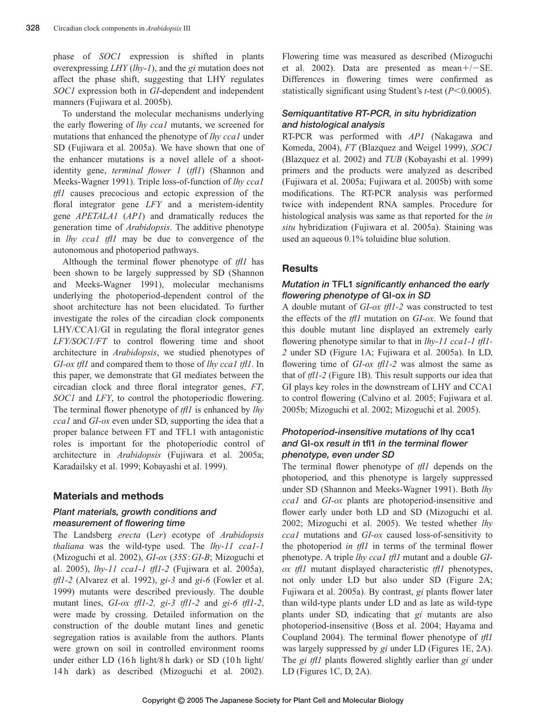phase of *SOC1* expression is shifted in plants overexpressing *LHY* (*lhy-1*), and the *gi* mutation does not affect the phase shift, suggesting that LHY regulates *SOC1* expression both in *GI*-dependent and independent manners (Fujiwara et al. 2005b).

To understand the molecular mechanisms underlying the early flowering of *lhy cca1* mutants, we screened for mutations that enhanced the phenotype of *lhy cca1* under SD (Fujiwara et al. 2005a). We have shown that one of the enhancer mutations is a novel allele of a shootidentity gene, *terminal flower 1* (*tfl1*) (Shannon and Meeks-Wagner 1991). Triple loss-of-function of *lhy cca1 tfl1* causes precocious and ectopic expression of the floral integrator gene *LFY* and a meristem-identity gene *APETALA1* (*AP1*) and dramatically reduces the generation time of *Arabidopsis*. The additive phenotype in *lhy cca1 tfl1* may be due to convergence of the autonomous and photoperiod pathways.

Although the terminal flower phenotype of *tfl1* has been shown to be largely suppressed by SD (Shannon and Meeks-Wagner 1991), molecular mechanisms underlying the photoperiod-dependent control of the shoot architecture has not been elucidated. To further investigate the roles of the circadian clock components LHY/CCA1/GI in regulating the floral integrator genes *LFY/SOC1/FT* to control flowering time and shoot architecture in *Arabidopsis*, we studied phenotypes of *GI-ox tfl1* and compared them to those of *lhy cca1 tfl1*. In this paper, we demonstrate that GI mediates between the circadian clock and three floral integrator genes, *FT*, *SOC1* and *LFY*, to control the photoperiodic flowering. The terminal flower phenotype of *tfl1* is enhanced by *lhy cca1* and *GI-ox* even under SD, supporting the idea that a proper balance between FT and TFL1 with antagonistic roles is important for the photoperiodic control of architecture in *Arabidopsis* (Fujiwara et al. 2005a; Karadailsky et al. 1999; Kobayashi et al. 1999).

# **Materials and methods**

# *Plant materials, growth conditions and measurement of flowering time*

The Landsberg *erecta* (L*er*) ecotype of *Arabidopsis thaliana* was the wild-type used. The *lhy-11 cca1-1* (Mizoguchi et al. 2002), *GI-ox* (*35S*:*GI-B*; Mizoguchi et al. 2005), *lhy-11 cca1-1 tfl1-2* (Fujiwara et al. 2005a), *tfl1-2* (Alvarez et al. 1992), *gi-3* and *gi-6* (Fowler et al. 1999) mutants were described previously. The double mutant lines, *GI-ox tfl1-2, gi-3 tfl1-2* and *gi-6 tfl1-2*, were made by crossing. Detailed information on the construction of the double mutant lines and genetic segregation ratios is available from the authors. Plants were grown on soil in controlled environment rooms under either LD (16h light/8h dark) or SD (10h light/ 14 h dark) as described (Mizoguchi et al. 2002).

Flowering time was measured as described (Mizoguchi et al. 2002). Data are presented as mean $+/-SE$ . Differences in flowering times were confirmed as statistically significant using Student's *t*-test (*P*<0.0005).

# *Semiquantitative RT-PCR, in situ hybridization and histological analysis*

RT-PCR was performed with *AP1* (Nakagawa and Komeda, 2004), *FT* (Blazquez and Weigel 1999), *SOC1* (Blazquez et al. 2002) and *TUB* (Kobayashi et al. 1999) primers and the products were analyzed as described (Fujiwara et al. 2005a; Fujiwara et al. 2005b) with some modifications. The RT-PCR analysis was performed twice with independent RNA samples. Procedure for histological analysis was same as that reported for the *in situ* hybridization (Fujiwara et al. 2005a). Staining was used an aqueous 0.1% toluidine blue solution.

# **Results**

## *Mutation in* **TFL1** *significantly enhanced the early flowering phenotype of* **GI-ox** *in SD*

A double mutant of *GI-ox tfl1-2* was constructed to test the effects of the *tfl1* mutation on *GI-ox*. We found that this double mutant line displayed an extremely early flowering phenotype similar to that in *lhy-11 cca1-1 tfl1- 2* under SD (Figure 1A; Fujiwara et al. 2005a). In LD, flowering time of *GI-ox tfl1-2* was almost the same as that of *tfl1-2* (Figure 1B). This result supports our idea that GI plays key roles in the downstream of LHY and CCA1 to control flowering (Calvino et al. 2005; Fujiwara et al. 2005b; Mizoguchi et al. 2002; Mizoguchi et al. 2005).

# *Photoperiod-insensitive mutations of* **lhy cca1** *and* **GI-ox** *result in* **tfl1** *in the terminal flower phenotype, even under SD*

The terminal flower phenotype of *tfl1* depends on the photoperiod, and this phenotype is largely suppressed under SD (Shannon and Meeks-Wagner 1991). Both *lhy cca1* and *GI-ox* plants are photoperiod-insensitive and flower early under both LD and SD (Mizoguchi et al. 2002; Mizoguchi et al. 2005). We tested whether *lhy cca1* mutations and *GI-ox* caused loss-of-sensitivity to the photoperiod *in tfl1* in terms of the terminal flower phenotype. A triple *lhy cca1 tfl1* mutant and a double *GIox tfl1* mutant displayed characteristic *tfl1* phenotypes, not only under LD but also under SD (Figure 2A; Fujiwara et al. 2005a). By contrast, *gi* plants flower later than wild-type plants under LD and as late as wild-type plants under SD, indicating that *gi* mutants are also photoperiod-insensitive (Boss et al. 2004; Hayama and Coupland 2004). The terminal flower phenotype of *tfl1* was largely suppressed by *gi* under LD (Figures 1E, 2A). The *gi tfl1* plants flowered slightly earlier than *gi* under LD (Figures 1C, D, 2A).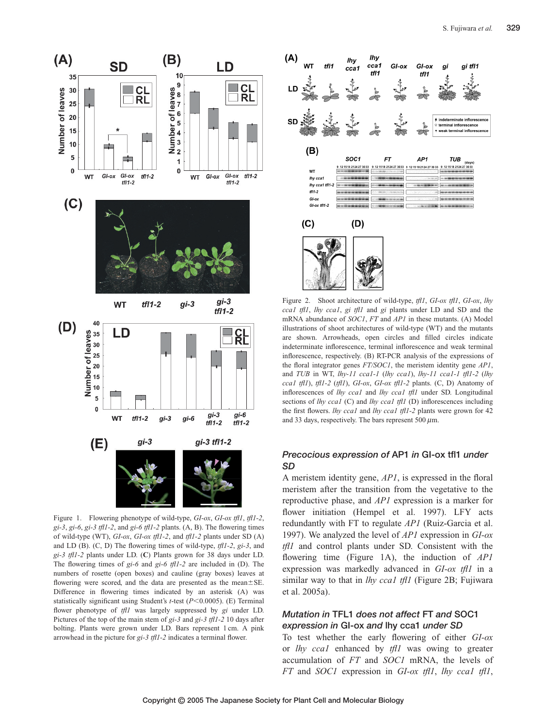

Figure 1. Flowering phenotype of wild-type, *GI-ox*, *GI-ox tfl1*, *tfl1-2*, *gi-3*, *gi-6*, *gi-3 tfl1-2*, and *gi-6 tfl1-2* plants. (A, B). The flowering times of wild-type (WT), *GI-ox*, *GI-ox tfl1-2*, and *tfl1-2* plants under SD (A) and LD (B). (C, D) The flowering times of wild-type, *tfl1-2*, *gi-3*, and *gi-3 tfl1-2* plants under LD. (**C**) Plants grown for 38 days under LD. The flowering times of *gi-6* and *gi-6 tfl1-2* are included in (D). The numbers of rosette (open boxes) and cauline (gray boxes) leaves at flowering were scored, and the data are presented as the mean $\pm$ SE. Difference in flowering times indicated by an asterisk (A) was statistically significant using Student's *t*-test (*P*<0.0005). (E) Terminal flower phenotype of *tfl1* was largely suppressed by *gi* under LD. Pictures of the top of the main stem of *gi-3* and *gi-3 tfl1-2* 10 days after bolting. Plants were grown under LD. Bars represent 1 cm. A pink arrowhead in the picture for *gi-3 tfl1-2* indicates a terminal flower.



Figure 2. Shoot architecture of wild-type, *tfl1*, *GI-ox tfl1*, *GI-ox*, *lhy cca1 tfl1*, *lhy cca1*, *gi tfl1* and *gi* plants under LD and SD and the mRNA abundance of *SOC1*, *FT* and *AP1* in these mutants. (A) Model illustrations of shoot architectures of wild-type (WT) and the mutants are shown. Arrowheads, open circles and filled circles indicate indeterminate inflorescence, terminal inflorescence and weak terminal inflorescence, respectively. (B) RT-PCR analysis of the expressions of the floral integrator genes *FT/SOC1*, the meristem identity gene *AP1*, and *TUB* in WT, *lhy-11 cca1-1* (*lhy cca1*), *lhy-11 cca1-1 tfl1-2* (*lhy cca1 tfl1*), *tfl1-2* (*tfl1*), *GI-ox*, *GI-ox tfl1-2* plants. (C, D) Anatomy of inflorescences of *lhy cca1* and *lhy cca1 tfl1* under SD. Longitudinal sections of *lhy cca1* (C) and *lhy cca1 tfl1* (D) inflorescences including the first flowers. *lhy cca1* and *lhy cca1 tfl1-2* plants were grown for 42 and 33 days, respectively. The bars represent 500  $\mu$ m.

### *Precocious expression of* **AP1** *in* **GI-ox tfl1** *under SD*

A meristem identity gene, *AP1*, is expressed in the floral meristem after the transition from the vegetative to the reproductive phase, and *AP1* expression is a marker for flower initiation (Hempel et al. 1997). LFY acts redundantly with FT to regulate *AP1* (Ruiz-Garcia et al. 1997). We analyzed the level of *AP1* expression in *GI-ox tfl1* and control plants under SD. Consistent with the flowering time (Figure 1A), the induction of *AP1* expression was markedly advanced in *GI-ox tfl1* in a similar way to that in *lhy cca1 tfl1* (Figure 2B; Fujiwara et al. 2005a).

# *Mutation in* **TFL1** *does not affect* **FT** *and* **SOC1** *expression in* **GI-ox** *and* **lhy cca1** *under SD*

To test whether the early flowering of either *GI-ox* or *lhy cca1* enhanced by *tfl1* was owing to greater accumulation of *FT* and *SOC1* mRNA, the levels of *FT* and *SOC1* expression in *GI-ox tfl1*, *lhy cca1 tfl1*,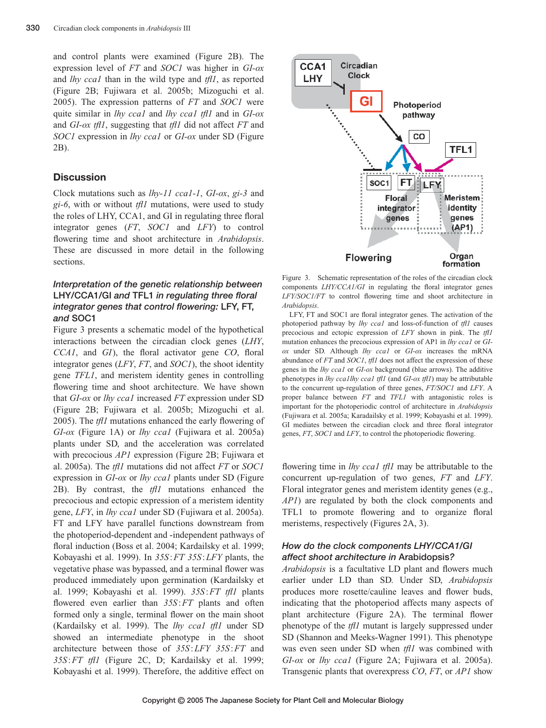and control plants were examined (Figure 2B). The expression level of *FT* and *SOC1* was higher in *GI-ox* and *lhy cca1* than in the wild type and *tfl1*, as reported (Figure 2B; Fujiwara et al. 2005b; Mizoguchi et al. 2005). The expression patterns of *FT* and *SOC1* were quite similar in *lhy cca1* and *lhy cca1 tfl1* and in *GI-ox* and *GI-ox tfl1*, suggesting that *tfl1* did not affect *FT* and *SOC1* expression in *lhy cca1* or *GI-ox* under SD (Figure 2B).

### **Discussion**

Clock mutations such as *lhy-11 cca1-1*, *GI-ox*, *gi-3* and *gi-6*, with or without *tfl1* mutations, were used to study the roles of LHY, CCA1, and GI in regulating three floral integrator genes (*FT*, *SOC1* and *LFY*) to control flowering time and shoot architecture in *Arabidopsis*. These are discussed in more detail in the following sections.

# *Interpretation of the genetic relationship between* **LHY/CCA1/GI** *and* **TFL1** *in regulating three floral integrator genes that control flowering:* **LFY, FT,** *and* **SOC1**

Figure 3 presents a schematic model of the hypothetical interactions between the circadian clock genes (*LHY*, *CCA1*, and *GI*), the floral activator gene *CO*, floral integrator genes (*LFY*, *FT*, and *SOC1*), the shoot identity gene *TFL1*, and meristem identity genes in controlling flowering time and shoot architecture. We have shown that *GI-ox* or *lhy cca1* increased *FT* expression under SD (Figure 2B; Fujiwara et al. 2005b; Mizoguchi et al. 2005). The *tfl1* mutations enhanced the early flowering of *GI-ox* (Figure 1A) or *lhy cca1* (Fujiwara et al. 2005a) plants under SD, and the acceleration was correlated with precocious *AP1* expression (Figure 2B; Fujiwara et al. 2005a). The *tfl1* mutations did not affect *FT* or *SOC1* expression in *GI-ox* or *lhy cca1* plants under SD (Figure 2B). By contrast, the *tfl1* mutations enhanced the precocious and ectopic expression of a meristem identity gene, *LFY*, in *lhy cca1* under SD (Fujiwara et al. 2005a). FT and LFY have parallel functions downstream from the photoperiod-dependent and -independent pathways of floral induction (Boss et al. 2004; Kardailsky et al. 1999; Kobayashi et al. 1999). In *35S* :*FT 35S* :*LFY* plants, the vegetative phase was bypassed, and a terminal flower was produced immediately upon germination (Kardailsky et al. 1999; Kobayashi et al. 1999). *35S*:*FT tfl1* plants flowered even earlier than *35S*:*FT* plants and often formed only a single, terminal flower on the main shoot (Kardailsky et al. 1999). The *lhy cca1 tfl1* under SD showed an intermediate phenotype in the shoot architecture between those of *35S*:*LFY 35S* :*FT* and *35S*:*FT tfl1* (Figure 2C, D; Kardailsky et al. 1999; Kobayashi et al. 1999). Therefore, the additive effect on



Figure 3. Schematic representation of the roles of the circadian clock components *LHY/CCA1/GI* in regulating the floral integrator genes *LFY/SOC1/FT* to control flowering time and shoot architecture in *Arabidopsis*.

LFY, FT and SOC1 are floral integrator genes. The activation of the photoperiod pathway by *lhy cca1* and loss-of-function of *tfl1* causes precocious and ectopic expression of *LFY* shown in pink. The *tfl1* mutation enhances the precocious expression of AP1 in *lhy cca1* or *GIox* under SD. Although *lhy cca1* or *GI-ox* increases the mRNA abundance of *FT* and *SOC1*, *tfl1* does not affect the expression of these genes in the *lhy cca1* or *GI-ox* background (blue arrows). The additive phenotypes in *lhy cca1lhy cca1 tfl1* (and *GI-ox tfl1*) may be attributable to the concurrent up-regulation of three genes, *FT/SOC1* and *LFY*. A proper balance between *FT* and *TFL1* with antagonistic roles is important for the photoperiodic control of architecture in *Arabidopsis* (Fujiwara et al. 2005a; Karadailsky et al. 1999; Kobayashi et al. 1999). GI mediates between the circadian clock and three floral integrator genes, *FT*, *SOC1* and *LFY*, to control the photoperiodic flowering.

flowering time in *lhy cca1 tfl1* may be attributable to the concurrent up-regulation of two genes, *FT* and *LFY*. Floral integrator genes and meristem identity genes (e.g., *AP1*) are regulated by both the clock components and TFL1 to promote flowering and to organize floral meristems, respectively (Figures 2A, 3).

## *How do the clock components LHY/CCA1/GI affect shoot architecture in* **Arabidopsis***?*

*Arabidopsis* is a facultative LD plant and flowers much earlier under LD than SD. Under SD, *Arabidopsis* produces more rosette/cauline leaves and flower buds, indicating that the photoperiod affects many aspects of plant architecture (Figure 2A). The terminal flower phenotype of the *tfl1* mutant is largely suppressed under SD (Shannon and Meeks-Wagner 1991). This phenotype was even seen under SD when *tfl1* was combined with *GI-ox* or *lhy cca1* (Figure 2A; Fujiwara et al. 2005a). Transgenic plants that overexpress *CO*, *FT*, or *AP1* show